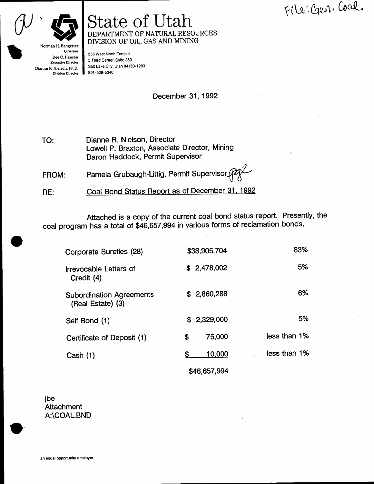File: Gen. Coal



Division Director

## **State of Utah** DEPARTMENT OF NATURAL RESOURCES DIVISION OF OIL, GAS AND MINING

355 West North Temple 3 Triad Center, Suite 350 Salt Lake City, Utah 84180-1203 801-538-5340

December 31, 1992

Dianne R. Nielson, Director TO: Lowell P. Braxton, Associate Director, Mining Daron Haddock, Permit Supervisor

Pamela Grubaugh-Littig, Permit Supervisor (Pay FROM:

Coal Bond Status Report as of December 31, 1992 RE:

Attached is a copy of the current coal bond status report. Presently, the coal program has a total of \$46,657,994 in various forms of reclamation bonds.

| Corporate Sureties (28)                              | \$38,905,704 | 83%          |
|------------------------------------------------------|--------------|--------------|
| Irrevocable Letters of<br>Credit (4)                 | \$2,478,002  | 5%           |
| <b>Subordination Agreements</b><br>(Real Estate) (3) | \$2,860,288  | 6%           |
| Self Bond (1)                                        | \$2.329,000  | 5%           |
| Certificate of Deposit (1)                           | 75,000<br>\$ | less than 1% |
| Cash (1)                                             | 10,000<br>S  | less than 1% |
|                                                      | \$46,657,994 |              |

jbe Attachment A:\COAL.BND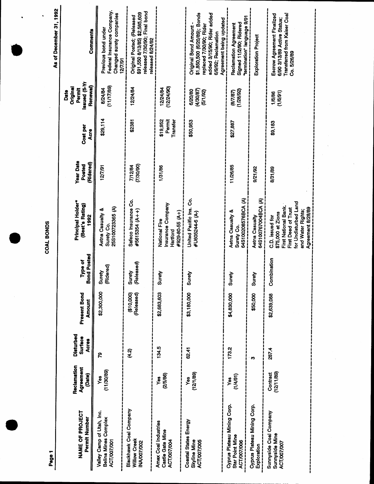| Page 1                                                                  |                                    |                                             |                               |                               |                                                                                                                                                       |                                         |                                |                                                                | As of December 31, 1992                                                                                                                                                |
|-------------------------------------------------------------------------|------------------------------------|---------------------------------------------|-------------------------------|-------------------------------|-------------------------------------------------------------------------------------------------------------------------------------------------------|-----------------------------------------|--------------------------------|----------------------------------------------------------------|------------------------------------------------------------------------------------------------------------------------------------------------------------------------|
| NAME OF PROJECT<br>Permit Number                                        | Reclamation<br>Agreement<br>(Date) | <b>Disturbed</b><br>Surface<br><b>Acres</b> | <b>Present Bond</b><br>Amount | <b>Bond Posted</b><br>Type of | Principal Holder*<br>(Best's Rating)<br>1992                                                                                                          | <b>Year Date</b><br>(Ridered)<br>Posted | Cost per<br>Acre               | Issued (5-Yr<br><b>Renewal</b> )<br>Original<br>Permit<br>Date | Comments                                                                                                                                                               |
| Valley Camp of Utah, Inc.<br><b>Belina Mines Complex</b><br>ACT/007/001 | (11/30/89)<br>Yes                  | R                                           | \$2,300,000                   | idered)<br>Surety<br>(Ridere  | 25S100723365 (A)<br>Aetna Casualty &<br>Surety Co.                                                                                                    | 12/7/91                                 | \$29,114                       | (11/17/89)<br>8/24/84                                          | Federal Insurance Company.<br>Changed surety companies<br>Previous bond under<br>12/7/91                                                                               |
| Blackhawk Coal Company<br>Willow Creek<br>INA/007/002                   |                                    | द्भ<br>स्                                   | (\$10,000)<br>(Released)      | Surety<br>(Released)          | Safeco Insurance Co.<br>#5615354 (A++)                                                                                                                | (7/30/90)<br>7/12/84                    | \$2381                         | 12/24/84                                                       | released 7/30/90; Final bond<br>\$91,550 8/13/85) \$2,585,609<br>Original Posted; (Released<br>released 8/24/92                                                        |
| Amax Coal Industries<br>Castle Gate Mine<br>ACT/007/004                 | (2/5/86)<br>yes                    | 134.5                                       | \$2,683,603                   | Surety                        | Insurance Company<br>$#929-80-55(A+)$<br>National Fire<br>Hartford                                                                                    | 1/31/86                                 | \$19,952<br>Permit<br>Transfer | (12/24/90)<br>12/24/84                                         |                                                                                                                                                                        |
| Coastal States Energy<br><b>ACT/007/005</b><br><b>Skyline Mine</b>      | (12/1/89)<br>Yes                   | 62.41                                       | \$3,180,000                   | Surety                        | United Pacific Ins. Co.<br>#U605244-6 (A-)                                                                                                            |                                         | \$50,953                       | (4/30/87)<br>6/20/80<br>(5/1/92)                               | \$1,850,500 (6/20/89); Bonds<br>added 3/15/90; Rider added<br>Agreement being updated<br>replaced 7/30/90; Rider<br><b>Original Bond Amount</b><br>6/9/92; Reclamation |
| Cyprus Plateau Mining Corp.<br>Star Point Mine<br>ACT/007/006           | (1/4/91)<br>yes<br>Y               | 173.2                                       | \$4,830,000                   | Áel<br>ສັ                     | 64S100208576BCA (A)<br>Aetna Casualty &<br>Surety Co.                                                                                                 | 11/26/85                                | \$27,887                       | (1/28/92)<br><b>(8/7/87)</b>                                   | termination" language 9/91<br>Signed 11/2/90; Ridered<br><b>Reclamation Agreement</b>                                                                                  |
| Cyprus Plateau Mining Corp.<br>Exploration                              |                                    | Ø                                           | \$50,000                      | ٩ě<br>ສັ                      | 64S100767004BCA (A)<br>Aetna Casualty                                                                                                                 | 9/21/92                                 |                                |                                                                | Exploration Project                                                                                                                                                    |
| Sunnyside Coal Company<br>Sunnyside Mine<br><b>ACT/007/007</b>          | (12/11/89)<br>Contract             | 287.4                                       | \$2,639,088                   | Combination                   | for Undisturbed Land<br>First National Bank.<br>First Deed of Trust<br>Agreement 8/28/89<br>and Water Rights;<br>\$75,000 at Zions<br>C.D. issued for | 8/31/89                                 | \$9,183                        | (1/6/91)<br>1/6/86                                             | <b>Transferred from Kaiser Coal</b><br>Escrow Agreement Finalized<br>6/90 3/13/89 Active Status;<br>Co. 5/26/89                                                        |

COAL BONDS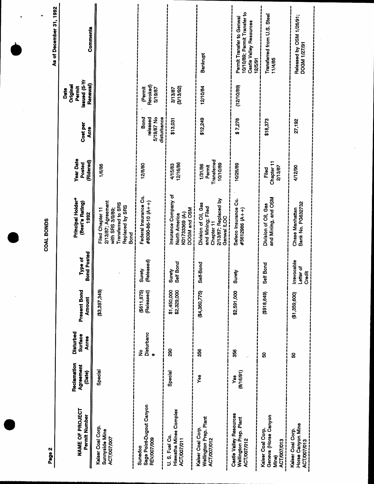| Page 2                                                                  |                                    |                                             |                            |                                    | י<br> <br> <br> <br>                                                                                               |                                              |                                               |                                                               | As of December 31, 1992                                                                         |
|-------------------------------------------------------------------------|------------------------------------|---------------------------------------------|----------------------------|------------------------------------|--------------------------------------------------------------------------------------------------------------------|----------------------------------------------|-----------------------------------------------|---------------------------------------------------------------|-------------------------------------------------------------------------------------------------|
| NAME OF PROJECT<br>Permit Number                                        | Reclamation<br>Agreement<br>(Date) | <b>Disturbed</b><br><b>Surface</b><br>Acres | Present Bond<br>Amount     | <b>Bond Posted</b><br>Type of      | Principal Holder*<br>(Best's Rating)<br>1992                                                                       | <b>Year Date</b><br>(Ridered)<br>Posted      | Cost per<br>Acre                              | <b>Issued</b> (5-Yr<br>Renewal)<br>Original<br>Permit<br>Date | Comments                                                                                        |
| Kaiser Coal Corp.<br>Sunnyside Mine<br>ACT/007/007                      | Special                            |                                             | $($ \$3,397,349)           |                                    | 2/13/87; Agreement<br>Transferred to SRS<br>Replaced by SRS<br>with SRS 3/9/89;<br><b>Filed Chapter 11</b><br>Bond | 1/6/86                                       |                                               |                                                               |                                                                                                 |
| Sage Point-Dugout Canyon<br>REV/007/009<br>Sunedco                      |                                    | Disturbanc<br>ş<br>$\bullet$                | (\$611,875)<br>(Released)  | Surety<br>(Released)               | Federal Insurance Co.<br>#8090-86-10 (A++)                                                                         | 12/8/80                                      | 5/19/87 No<br>Bond<br>released<br>disturbance | <b>Revoked</b> )<br>(Pernit<br>5/19/87                        |                                                                                                 |
| Hiawatha Mines Complex<br>U.S. Fuel Co.<br>ACT/007/011                  | Special                            | 88                                          | \$1,450,000<br>\$2,329,000 | If Bond<br>Surety<br>Self Bo       | Insurance Company of<br>DOGM and OSM<br>K01733369 (A-)<br>North America                                            | 12/16/86<br>4/15/83                          | \$13,031                                      | (3/13/92)<br>3/13/87                                          |                                                                                                 |
| Wellington Prep. Plant<br>ACT/007/012<br>Kaiser Coal Corp.              | Yes                                | 356                                         | (\$4,360,775)              | Self-Bond                          | 2/13/87; Replaced by<br>Division of Oil, Gas<br>and Mining; Filed<br>Genwal ILOC<br>Chapter 11                     | Transferred<br>10/10/89<br>1/31/86<br>Permit | \$12,249                                      | 12/10/84                                                      | Bankrupt                                                                                        |
| Castle Valley Resources<br>Wellington Prep. Plant<br><b>ACT/007/012</b> | (8/16/91)<br>Yes                   | 356                                         | \$2,591,000                | Surety                             | Safeco Insurance Co.<br>#5612986 (A++)                                                                             | 10/26/89                                     | \$7,278                                       | (12/10/89)                                                    | 10/10/89; Permit Transfer to<br>Permit Transfer to Genwal<br>Castle Valley Resources<br>12/5/91 |
| Geneva (Horse Canyon<br>Kaiser Coal Corp.<br>ACT/007/013<br>Mine)       |                                    | ន                                           | (618,649)                  | Self Bond                          | and Mining, and OSM<br>Division of Oil, Gas                                                                        | Chapter 11<br>2/13/87<br>Filed               | \$18,373                                      |                                                               | Transferred from U.S. Steel<br>11/4/85                                                          |
| Horse Canyon Mine<br>Kaiser Coal Corp.<br>ACT/007/013                   |                                    | ន                                           | (61, 359, 600)             | Irrevocable<br>Letter of<br>Credit | Bank No. PG632732<br>Chase Manhattan                                                                               | 4/12/90                                      | 27,192                                        |                                                               | Released by OSM 1/26/91;<br>DOGM 1/27/91                                                        |

COAL BONDS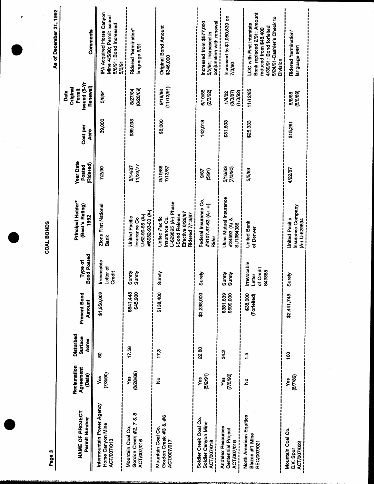|                                                                      |                                    |                                             |                         |                                             |                                                                                                                        |                                                |                  |                                                        | As of December 31, 1992                                                                                                                                      |
|----------------------------------------------------------------------|------------------------------------|---------------------------------------------|-------------------------|---------------------------------------------|------------------------------------------------------------------------------------------------------------------------|------------------------------------------------|------------------|--------------------------------------------------------|--------------------------------------------------------------------------------------------------------------------------------------------------------------|
| NAME OF PROJECT<br>Permit Number                                     | Reclamation<br>Agreement<br>(Date) | <b>Disturbed</b><br>Surface<br><b>Acres</b> | Present Bond<br>Amount  | <b>Bond Posted</b><br>iype of               | Principal Holder*<br>(Best's Rating)<br>1992                                                                           | <b>Year Date</b><br><b>Ridered</b> )<br>Posted | Cost per<br>Acre | Issued (5-Yr<br>Renewal)<br>Original<br>Permit<br>Date | Comments                                                                                                                                                     |
| Intermountain Power Agency<br>Horse Canyon Mine<br>ACT/007/013       | (7/3/90)<br>Yes                    | ន                                           | \$1,950,002             | Irrevocable<br>Letter of<br>Credit          | <b>Zions First National</b><br><b>Bank</b>                                                                             | 7/2/90                                         | 39,000           | 5/6/91                                                 | PA Acquired Horse Canyon<br>Mine 4/5/90; Permit issued<br>5/6/91; Bond increased<br>5/3/91                                                                   |
| Gordon Creek #2, 7 & 8<br>Mountain Coal Co.<br><b>ACT/007/016</b>    | (8/28/89)<br>Yes                   | 17.58                                       | \$641,443<br>\$45,900   | Surety<br>Surety                            | #8082-93-00 (A-)<br>U-62-99-65 (A-)<br><b>United Pacific</b><br>Insurance Co                                           | 11/22/77<br>8/14/87                            | \$39,098         | (8/28/89)<br>8/27/84                                   | Ridered "termination"<br>18nguage 9/91                                                                                                                       |
| Gordon Creek #3 & #6<br>Mountain Coal Co.<br>ACT/007/017             | ş                                  | 17.3                                        | \$138,400               | Surety                                      | U-629895 (A-) Phase<br>Effective 6/26/87<br>Ridered 7/13/87<br><b>-Bond Release</b><br>United Pacific<br>Insurance Co. | 9/19/86<br>7/13/87                             | \$8,000          | (11/13/91)<br>9/19/86                                  | Original Bond Amount<br>\$346,000                                                                                                                            |
| Soldier Creek Coal Co.<br>Soldier Canyon Mine<br><b>ACT/007/018</b>  | (5/2/91)<br>Yes                    | <b>22.80</b>                                | \$3,238,000             | Surety                                      | Federal Insurance Co.<br>#8107-37-63 (A++)<br>Rider                                                                    | (5/91)<br>9/87                                 | 142,018          | 6/10/85<br>(2/3/92)                                    | Increased from \$577,000<br>conjunction with renewal<br>5/2/91; Increased in                                                                                 |
| <b>Andalex Resources</b><br>Centennial Project<br><b>ACT/007/019</b> | (7/6/90)<br>Yes                    | 34,2                                        | \$381,839<br>\$699,000  | <b>Auans</b>                                | Utica Mutual Insurance<br>#34593 (A) &<br>SU1354086                                                                    | 5/16/83<br>(7/3/90)                            | \$31,603         | 3/3/87)<br>(1/3/92)<br>1/4/82                          | ncreased to \$1,080,839 on<br>7/3/90                                                                                                                         |
| North American Equities<br>Blazon #1 Mine<br>REC/007/021             | $\frac{9}{2}$                      | $\frac{5}{1}$                               | \$38,000<br>(Forfeited) | rrevocable<br>of Credit<br>S43865<br>Letter | <b>United Bank</b><br>of Denver                                                                                        | 5/5/89                                         | \$25,333         | 11/12/85                                               | Bank replaced 2/91; Amount<br>5/24/91-Cashier's Check to<br><b>LOC</b> with First Interstate<br>4/30/91; Bond forfeited<br>reduced from \$48,400<br>Division |
| Mountain Coal Co.<br>ACT/007/022<br>C.V. Spur                        | (8/7/89)<br>yes<br>Y               | 8                                           | \$2,441,745             | Surety                                      | Insurance Company<br>United Pacific<br><b>H-1 U-629894</b>                                                             | 4/22/87                                        | \$15,261         | (8/6/89)<br>8/6/85                                     | Ridered "termination"<br>16/6 eBanBua                                                                                                                        |
|                                                                      |                                    |                                             |                         |                                             |                                                                                                                        |                                                |                  |                                                        |                                                                                                                                                              |

COAL BONDS

Page 3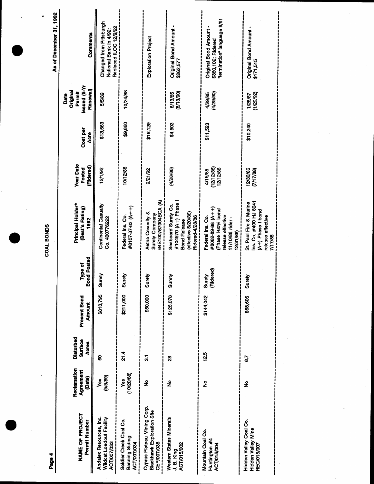Page 4

As of December 31, 1992

| NAME OF PROJECT<br>Permit Number                                                | Reclamation<br>Agreement<br>(Date) | Disturbed<br><b>Surface</b><br><b>Acres</b> | Present Bond<br><b>Amount</b> | <b>Bond Posted</b><br>Type of | Principal Holder*<br>(Best's Rating)<br>1992                                                                  | <b>Year Date</b><br>(Ridered)<br>Posted | Cost per<br>Acre | <b>IX-S) penssi</b><br>Renewal)<br>Original<br>Permit<br>Date | Comments                                                                   |
|---------------------------------------------------------------------------------|------------------------------------|---------------------------------------------|-------------------------------|-------------------------------|---------------------------------------------------------------------------------------------------------------|-----------------------------------------|------------------|---------------------------------------------------------------|----------------------------------------------------------------------------|
| Andalex Resources, Inc.<br>Wildcat Loadout Facility<br>ACT/007/033              | (5/5/89)<br>Š.                     | 8                                           | \$813,795                     | Á9.<br>ສັ                     | Continental Casualty<br>Co. 400776222                                                                         | 12/1/92                                 | \$13,563         | 5/5/89                                                        | Changed from Pittsburgh<br>Replaced ILOC 12/9/92<br>National Bank in 4/92; |
| Soldier Creek Coal Co.<br>Banning Siding<br>ACT/007/034                         | (10/20/88)<br>Š                    | 21.4                                        | \$211,000                     | ξó<br>ສັ                      | #8107-37-63 (A++)<br>Federal Ins. Co.                                                                         | 10/12/88                                | \$9,860          | 10/24/88                                                      |                                                                            |
| Cyprus Plateau Mining Corp.<br><b>Blackhawk Exploration Site</b><br>CEP/007/038 | ş                                  | $\overline{3}$                              | \$50,000                      | Surety                        | 64S100767004BCA (A)<br>Aetna Casualty &<br>Surety Company                                                     | 9/21/92                                 | \$16,129         |                                                               | Exploration Project                                                        |
| Western States Minerals<br>ACT/015/002<br>J.B. King                             | ş                                  | 8                                           | \$126,078                     | Surety                        | #104570 (A+) Phase I<br>Seaboard Surety Co.<br>(effective 5/20/86)<br>Ridered-4/28/86<br><b>Bond Release</b>  | (4/28/86)                               | \$4,503          | (8/13/90)<br>8/13/85                                          | Original Bond Amount<br>\$262,577                                          |
| Mountain Coal Co.<br>Huntington #4<br>ACT/015/004                               | ş                                  | 12.5                                        | \$144,042                     | (Ridered)<br>Surety           | #8082-89-88 (A++)<br>(Phase I-60% bond<br>release effective<br>Federal Ins. Co.<br>11/10/86 rider<br>12/31/86 | (12/12/86)<br>12/12/86<br>4/15/85       | \$1,523          | 4/29/85<br>(4/29/90)                                          | termination" language 9/91<br>Original Bond Amount<br>\$360,102; Ridered   |
| Hidden Valley Coal Co.<br>Hidden Valley Mine<br>REC/015/007                     | ş                                  | 6.7                                         | \$68,606                      | る<br>ສັ                       | Ins. Co. #400 HJ 8041<br>St. Paul Fire & Marine<br>$(A+)$ Phase I bond<br>release effective<br>7/17/88        | 12/30/86<br>(7/17/88)                   | \$10,240         | 1/28/87<br>(1/29/92)                                          | Original Bond Amount<br>\$171,515                                          |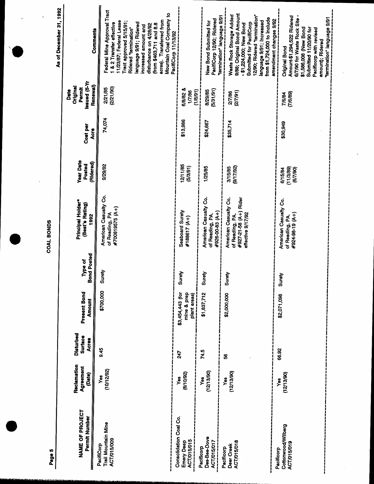| Page 5                                                  |                                    |                               |                                 |                               | COAL BONDS                                                                             |                                         |                  |                                                               | As of December 31, 1992                                                                                                                                                                                                                                                                            |
|---------------------------------------------------------|------------------------------------|-------------------------------|---------------------------------|-------------------------------|----------------------------------------------------------------------------------------|-----------------------------------------|------------------|---------------------------------------------------------------|----------------------------------------------------------------------------------------------------------------------------------------------------------------------------------------------------------------------------------------------------------------------------------------------------|
| NAME OF PROJECT<br>Permit Number                        | Reclamation<br>Agreement<br>(Date) | Disturbed<br>Surface<br>Acres | Present Bond<br><b>Amount</b>   | <b>Bond Posted</b><br>Type of | Principal Holder*<br>(Best's Rating)<br>1992                                           | <b>Year Date</b><br>(Ridered)<br>Posted | Cost per<br>Acre | <b>Issued</b> (5-Yr<br>Renewal)<br>Original<br>Permit<br>Date | Comments                                                                                                                                                                                                                                                                                           |
| Trail Mountain Mine<br><b>ACT/015/009</b><br>PacifiCorp | (10/12/92)<br>yes                  | 9.45                          | \$700,000                       | Surety                        | American Casualty Co.<br>#700819575 (A+)<br>of Reading, PA                             | 9/29/92                                 | 74,074           | (2/21/90)<br>2/21/85                                          | Federal Mine Approval Tract<br>Mountain Coal Company to<br>acres). Transferred from<br>11/23/87; Federal Lease<br>Tract approved 5/15/91;<br>anguage 9/91; Ridered<br>& 2 Transfer effective<br>(from \$463,711 and 8.8<br>disturbance on 4/28/92<br>increased amount and<br>Ridered "termination" |
| Consolidation Coal Co.<br>ACT/015/015<br>Emery Deep     | (8/10/92)<br>yes<br>Y              | 247                           | \$3,454,443 (for<br>mine & prep | Surety                        | Seaboard Surety<br>#188617 (A+)                                                        | 12/11/85<br>(5/3/91)                    | \$13,986         | 6/8/82 &<br>(1/8/91)<br>1/7/86                                | PacifiCorp 11/13/92                                                                                                                                                                                                                                                                                |
| Des-Bee-Dove<br><b>ACT/015/017</b><br>Pacificorp        | (12/13/90)<br>Yes                  | 74.5                          | \$1,837,712                     | Surety                        | American Casualty Co.<br>#926-00-83 (A+)<br>of Reading, PA                             | 1/25/85                                 | \$24,667         | (5/31/91)<br>8/29/85                                          | "termination" language 9/91<br>PacifiCorp 12/90; Ridered<br>New Bond Submitted for                                                                                                                                                                                                                 |
| ACT/015/018<br>Deer Creek<br>Pacificorp                 | (12/13/90)<br>Yes                  | \$                            | \$2,000,000                     | Surety                        | #927-21-58 (A+) Rider<br>American Casualty Co.<br>effective 9/17/92<br>of Reading, PA. | (9/17/92)<br>3/15/85                    | \$35,714         | (27/91)<br>2/7/86                                             | 9/88; Original Bond Amount<br>Waste Rock Storage Added<br>12/90; Ridered "termination"<br>from \$1,724,000 to include<br>amendment changes 9/92<br>language 9/91; Increased<br>Submitted for PacifiCorp<br>- \$1,224,000; New Bond                                                                 |
| Cottonwood/Wilberg<br><b>ACT/015/019</b><br>Pacificorp  | (12/13/90)<br>Yes                  | 66.92                         | \$2,071,098                     | Surety                        | American Casualty Co.<br>#924-98-19 (A+)<br>of Reading, PA.                            | (11/3/89)<br>(6/7/90)<br>6/15/84        | \$30,949         | (7/6/89)<br>7/6/84                                            | 6/7/90 for Waste Rock Site -<br>Amount-\$1,294,522 Ridered<br><b>Termination"</b> language 9/91<br>\$1,586,008 (New Bond<br>Submitted 11/20/90 for<br>Pacificorp with revised<br>amount); Ridered<br><b>Original Bond</b>                                                                          |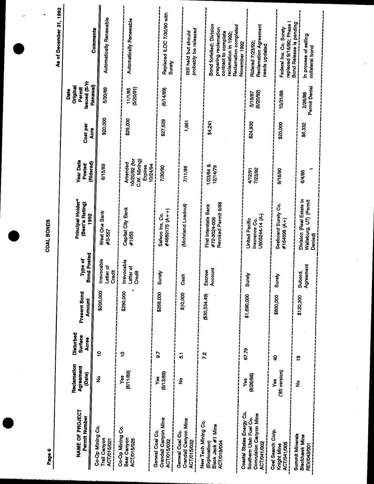As of December 31, 1992

| <b>NAME OF PROJECT</b><br>Permit Number                                                      | Reclamation<br>Agreement<br>(Date) | Disturbed<br>Surface<br><b>Acres</b> | Present Bond<br>Amount | nd Posted<br>Type of<br>နိ                            | Principal Holder*<br>(Best's Rating)<br>1992                  | <b>Year Date</b><br>(Ridered)<br>Posted                                | Cost per<br>Acre | ssued (5-Yr<br>Original<br>Permit<br>Date |                                                                                                                                   |
|----------------------------------------------------------------------------------------------|------------------------------------|--------------------------------------|------------------------|-------------------------------------------------------|---------------------------------------------------------------|------------------------------------------------------------------------|------------------|-------------------------------------------|-----------------------------------------------------------------------------------------------------------------------------------|
| Co-Op Mining Co.<br>Trail Canyon<br>ACT/015/021                                              | ş                                  | ő                                    | \$200,000              | <b>Irrevocable</b><br>Letter of<br>Credit             | West One Bank<br>$#S-557$                                     | 6/15/89                                                                | \$20,000         | <b>Renewal</b> )<br>5/30/89               | Automatically Renewable<br>Comments                                                                                               |
| Co-Op Mining Co.<br>Bear Canyon<br>ACT/015/025                                               | (8/11/89)<br>Yes                   | ë                                    | \$290,000              | <b>Irrevocable</b><br>Letter of<br><b>Credit</b><br>ļ | Capital City Bank<br>#1055                                    | 10/20/92 (for<br>C.W. Mining)<br>Amended<br>10/24/94<br><b>Expires</b> | \$29,000         | (5/20/91)<br>11/1/85                      | <b>Automatically Renewable</b>                                                                                                    |
| Crandall Canyon Mine<br>Genwal Coal Co.<br>ACT/015/032                                       | (6/13/89)<br>Yes                   | 59                                   | \$268,000              | Surety                                                | #4689175 (A++)<br>Safeco Ins. Co.                             | 7/30/90                                                                | \$27,629         | (6/14/89)                                 | Replaced ILOC 7/30/90 with<br>Surety                                                                                              |
| Crandall Canyon Mine<br>Genwal Coal Co.<br>ACT/015/032                                       | ş                                  | $\overline{5}$                       | \$10,000               | £<br>Cas                                              | (Mohrland Loadout)                                            | 7/11/88                                                                | 1,961            |                                           | probably be released<br>Still held but should                                                                                     |
| New Tech Mining Co.<br>Black Jack #1 Mine<br>ACT/019/004<br>(Exploration)                    |                                    | 72                                   | (620, 534.49)          | Account<br>Escrow                                     | Revoked Permit 9/88<br>First Interstate Bank<br>#72-3024-006  | 1/23/84 &<br>12/14/79                                                  | \$4,241          |                                           | Bond forfeited; Division<br><b>Reclamation completed</b><br>preparing reclamation<br>contract to complete<br>reclamation in 1992; |
| Coastal States Energy Co.<br>Convulsion Canyon Mine<br>Southern Utah Fuel Co.<br>ACT/041/002 | (8/26/88)<br>Yes                   | 67.79                                | \$1,690,000            | Surety                                                | U605244-14 (A-)<br><b>United Pacific</b><br>Insurance Co.     | 7/23/92<br>4/12/91                                                     | \$24,930         | (6/20/92)<br>5/19/87                      | <b>Reclamation Agreement</b><br>Ridered 7/23/92<br>November 1992<br>needs updated                                                 |
| Coal Search Corp.<br><b>ACT/041/005</b><br>Knight Mine                                       | ('85 version)<br>Yes               | ទ                                    | \$800,000              | Surety                                                | Seaboard Surety Co.<br>#164898 (A+)                           | 9/16/90                                                                | \$20,000         | 10/31/88                                  | replaced 9/16/90; Phase<br>Federal Ins. Co. Surety                                                                                |
| <b>Summit Minerals</b><br>Blackhawk Mine<br>REV/043/001                                      | ş                                  | ë                                    | \$120,300              | Agreement<br>Subord.                                  | Division (Real Estate in<br>Wallsburg, UT) (Permit<br>Denied) | 6/4/86                                                                 | \$6,332          | Permit Denial<br>2/26/88                  | Bond Release is pending<br>In process of selling<br>collateral bond                                                               |

Page 6